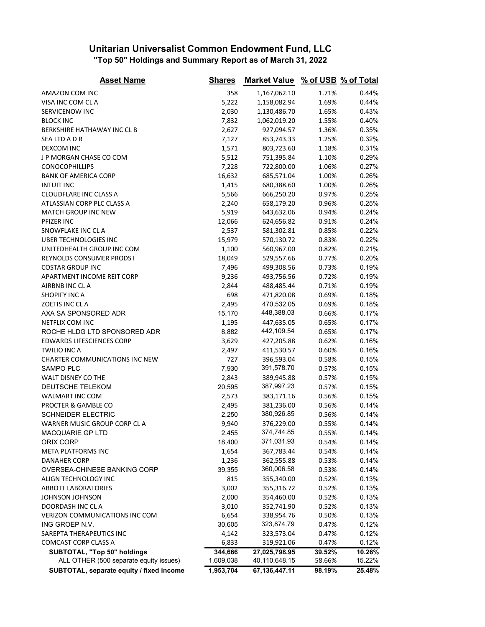## **Unitarian Universalist Common Endowment Fund, LLC "Top 50" Holdings and Summary Report as of March 31, 2022**

| <b>Asset Name</b>                        | <b>Shares</b> | <b>Market Value</b> |        | % of USB % of Total |
|------------------------------------------|---------------|---------------------|--------|---------------------|
| AMAZON COM INC                           | 358           | 1,167,062.10        | 1.71%  | 0.44%               |
| VISA INC COM CLA                         | 5,222         | 1,158,082.94        | 1.69%  | 0.44%               |
| SERVICENOW INC                           | 2,030         | 1,130,486.70        | 1.65%  | 0.43%               |
| <b>BLOCK INC</b>                         | 7,832         | 1,062,019.20        | 1.55%  | 0.40%               |
| BERKSHIRE HATHAWAY INC CL B              | 2,627         | 927,094.57          | 1.36%  | 0.35%               |
| SEA LTD A D R                            | 7,127         | 853,743.33          | 1.25%  | 0.32%               |
| DEXCOM INC                               | 1,571         | 803,723.60          | 1.18%  | 0.31%               |
| J P MORGAN CHASE CO COM                  | 5,512         | 751,395.84          | 1.10%  | 0.29%               |
| CONOCOPHILLIPS                           | 7,228         | 722,800.00          | 1.06%  | 0.27%               |
| <b>BANK OF AMERICA CORP</b>              | 16,632        | 685,571.04          | 1.00%  | 0.26%               |
| <b>INTUIT INC</b>                        | 1,415         | 680,388.60          | 1.00%  | 0.26%               |
| <b>CLOUDFLARE INC CLASS A</b>            | 5,566         | 666,250.20          | 0.97%  | 0.25%               |
| ATLASSIAN CORP PLC CLASS A               | 2,240         | 658,179.20          | 0.96%  | 0.25%               |
| MATCH GROUP INC NEW                      | 5,919         | 643,632.06          | 0.94%  | 0.24%               |
| PFIZER INC                               | 12,066        | 624,656.82          | 0.91%  | 0.24%               |
| SNOWFLAKE INC CL A                       | 2,537         | 581,302.81          | 0.85%  | 0.22%               |
| UBER TECHNOLOGIES INC                    | 15,979        | 570,130.72          | 0.83%  | 0.22%               |
| UNITEDHEALTH GROUP INC COM               | 1,100         | 560,967.00          | 0.82%  | 0.21%               |
| REYNOLDS CONSUMER PRODS I                | 18,049        | 529,557.66          | 0.77%  | 0.20%               |
| <b>COSTAR GROUP INC</b>                  | 7,496         | 499,308.56          | 0.73%  | 0.19%               |
| APARTMENT INCOME REIT CORP               | 9,236         | 493,756.56          | 0.72%  | 0.19%               |
| AIRBNB INC CLA                           | 2,844         | 488,485.44          | 0.71%  | 0.19%               |
| SHOPIFY INC A                            | 698           | 471,820.08          | 0.69%  | 0.18%               |
| ZOETIS INC CLA                           | 2,495         | 470,532.05          | 0.69%  | 0.18%               |
| AXA SA SPONSORED ADR                     | 15,170        | 448,388.03          | 0.66%  | 0.17%               |
| NETFLIX COM INC                          | 1,195         | 447,635.05          | 0.65%  | 0.17%               |
| ROCHE HLDG LTD SPONSORED ADR             | 8,882         | 442,109.54          | 0.65%  | 0.17%               |
| <b>EDWARDS LIFESCIENCES CORP</b>         | 3,629         | 427,205.88          | 0.62%  | 0.16%               |
| <b>TWILIO INC A</b>                      | 2,497         | 411,530.57          | 0.60%  | 0.16%               |
| <b>CHARTER COMMUNICATIONS INC NEW</b>    | 727           | 396,593.04          | 0.58%  | 0.15%               |
| SAMPO PLC                                | 7,930         | 391,578.70          | 0.57%  | 0.15%               |
| WALT DISNEY CO THE                       | 2,843         | 389,945.88          | 0.57%  | 0.15%               |
| DEUTSCHE TELEKOM                         | 20,595        | 387,997.23          | 0.57%  | 0.15%               |
| WALMART INC COM                          | 2,573         | 383,171.16          | 0.56%  | 0.15%               |
| PROCTER & GAMBLE CO                      | 2,495         | 381,236.00          | 0.56%  | 0.14%               |
| <b>SCHNEIDER ELECTRIC</b>                | 2,250         | 380,926.85          | 0.56%  | 0.14%               |
| WARNER MUSIC GROUP CORP CL A             | 9,940         | 376,229.00          | 0.55%  | 0.14%               |
| MACQUARIE GP LTD                         | 2,455         | 374,744.85          | 0.55%  | 0.14%               |
| ORIX CORP                                | 18,400        | 371,031.93          | 0.54%  | 0.14%               |
| <b>META PLATFORMS INC</b>                | 1,654         | 367,783.44          | 0.54%  | 0.14%               |
| <b>DANAHER CORP</b>                      | 1,236         | 362,555.88          | 0.53%  | 0.14%               |
| OVERSEA-CHINESE BANKING CORP             | 39,355        | 360,006.58          | 0.53%  | 0.14%               |
| ALIGN TECHNOLOGY INC                     | 815           | 355,340.00          | 0.52%  | 0.13%               |
| <b>ABBOTT LABORATORIES</b>               | 3,002         | 355,316.72          | 0.52%  | 0.13%               |
| JOHNSON JOHNSON                          | 2,000         | 354,460.00          | 0.52%  | 0.13%               |
| DOORDASH INC CLA                         | 3,010         | 352,741.90          | 0.52%  | 0.13%               |
| <b>VERIZON COMMUNICATIONS INC COM</b>    | 6,654         | 338,954.76          | 0.50%  | 0.13%               |
| ING GROEP N.V.                           | 30,605        | 323,874.79          | 0.47%  | 0.12%               |
| SAREPTA THERAPEUTICS INC                 | 4,142         | 323,573.04          | 0.47%  | 0.12%               |
| <b>COMCAST CORP CLASS A</b>              | 6,833         | 319,921.06          | 0.47%  | 0.12%               |
| SUBTOTAL, "Top 50" holdings              | 344,666       | 27,025,798.95       | 39.52% | 10.26%              |
| ALL OTHER (500 separate equity issues)   | 1,609,038     | 40,110,648.15       | 58.66% | 15.22%              |
| SUBTOTAL, separate equity / fixed income | 1,953,704     | 67,136,447.11       | 98.19% | 25.48%              |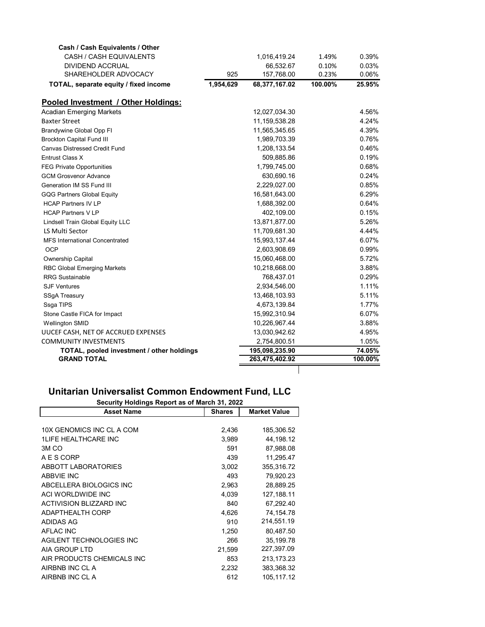| Cash / Cash Equivalents / Other           |           |                |         |         |
|-------------------------------------------|-----------|----------------|---------|---------|
| CASH / CASH EQUIVALENTS                   |           | 1,016,419.24   | 1.49%   | 0.39%   |
| <b>DIVIDEND ACCRUAL</b>                   |           | 66,532.67      | 0.10%   | 0.03%   |
| SHAREHOLDER ADVOCACY                      | 925       | 157,768.00     | 0.23%   | 0.06%   |
| TOTAL, separate equity / fixed income     | 1,954,629 | 68,377,167.02  | 100.00% | 25.95%  |
| Pooled Investment / Other Holdings:       |           |                |         |         |
| <b>Acadian Emerging Markets</b>           |           | 12,027,034.30  |         | 4.56%   |
| <b>Baxter Street</b>                      |           | 11,159,538.28  |         | 4.24%   |
| <b>Brandywine Global Opp FI</b>           |           | 11,565,345.65  |         | 4.39%   |
| <b>Brockton Capital Fund III</b>          |           | 1,989,703.39   |         | 0.76%   |
| <b>Canvas Distressed Credit Fund</b>      |           | 1,208,133.54   |         | 0.46%   |
| Entrust Class X                           |           | 509,885.86     |         | 0.19%   |
| <b>FEG Private Opportunities</b>          |           | 1,799,745.00   |         | 0.68%   |
| <b>GCM Grosvenor Advance</b>              |           | 630,690.16     |         | 0.24%   |
| Generation IM SS Fund III                 |           | 2,229,027.00   |         | 0.85%   |
| <b>GQG Partners Global Equity</b>         |           | 16,581,643.00  |         | 6.29%   |
| <b>HCAP Partners IV LP</b>                |           | 1,688,392.00   |         | 0.64%   |
| <b>HCAP Partners V LP</b>                 |           | 402,109.00     |         | 0.15%   |
| Lindsell Train Global Equity LLC          |           | 13,871,877.00  |         | 5.26%   |
| LS Multi Sector                           |           | 11,709,681.30  |         | 4.44%   |
| <b>MFS International Concentrated</b>     |           | 15,993,137.44  |         | 6.07%   |
| <b>OCP</b>                                |           | 2,603,908.69   |         | 0.99%   |
| Ownership Capital                         |           | 15,060,468.00  |         | 5.72%   |
| <b>RBC Global Emerging Markets</b>        |           | 10,218,668.00  |         | 3.88%   |
| <b>RRG Sustainable</b>                    |           | 768,437.01     |         | 0.29%   |
| <b>SJF Ventures</b>                       |           | 2,934,546.00   |         | 1.11%   |
| <b>SSgA Treasury</b>                      |           | 13,468,103.93  |         | 5.11%   |
| Ssga TIPS                                 |           | 4,673,139.84   |         | 1.77%   |
| Stone Castle FICA for Impact              |           | 15,992,310.94  |         | 6.07%   |
| <b>Wellington SMID</b>                    |           | 10,226,967.44  |         | 3.88%   |
| UUCEF CASH, NET OF ACCRUED EXPENSES       |           | 13,030,942.62  |         | 4.95%   |
| <b>COMMUNITY INVESTMENTS</b>              |           | 2,754,800.51   |         | 1.05%   |
| TOTAL, pooled investment / other holdings |           | 195,098,235.90 |         | 74.05%  |
| <b>GRAND TOTAL</b>                        |           | 263,475,402.92 |         | 100.00% |
|                                           |           |                |         |         |

## **Unitarian Universalist Common Endowment Fund, LLC**

| Security Holdings Report as of March 31, 2022 |               |                     |  |
|-----------------------------------------------|---------------|---------------------|--|
| <b>Asset Name</b>                             | <b>Shares</b> | <b>Market Value</b> |  |
|                                               |               |                     |  |
| 10X GENOMICS INC CL A COM                     | 2,436         | 185,306.52          |  |
| <b>1LIFE HEALTHCARE INC</b>                   | 3,989         | 44,198.12           |  |
| 3M <sub>CO</sub>                              | 591           | 87,988.08           |  |
| A E S CORP                                    | 439           | 11,295.47           |  |
| <b>ABBOTT LABORATORIES</b>                    | 3,002         | 355,316.72          |  |
| <b>ABBVIE INC</b>                             | 493           | 79,920.23           |  |
| ABCELLERA BIOLOGICS INC                       | 2,963         | 28,889.25           |  |
| ACI WORLDWIDE INC                             | 4,039         | 127, 188.11         |  |
| ACTIVISION BLIZZARD INC                       | 840           | 67,292.40           |  |
| <b>ADAPTHEALTH CORP</b>                       | 4,626         | 74,154.78           |  |
| ADIDAS AG                                     | 910           | 214,551.19          |  |
| AFLAC INC                                     | 1,250         | 80,487.50           |  |
| AGILENT TECHNOLOGIES INC                      | 266           | 35, 199. 78         |  |
| AIA GROUP LTD                                 | 21,599        | 227,397.09          |  |
| AIR PRODUCTS CHEMICALS INC                    | 853           | 213,173.23          |  |
| AIRBNB INC CL A                               | 2,232         | 383,368.32          |  |
| AIRBNB INC CL A                               | 612           | 105,117.12          |  |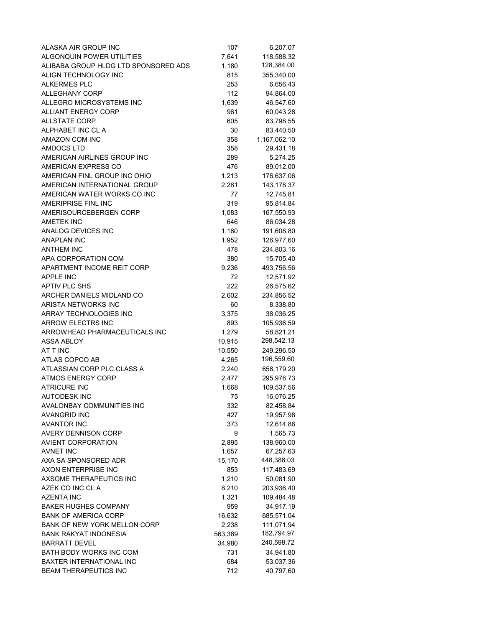| ALASKA AIR GROUP INC                 | 107     | 6,207.07     |
|--------------------------------------|---------|--------------|
| ALGONOUIN POWER UTILITIES            | 7,641   | 118,588.32   |
| ALIBABA GROUP HLDG LTD SPONSORED ADS | 1,180   | 128,384.00   |
| ALIGN TECHNOLOGY INC                 | 815     | 355,340.00   |
| <b>ALKERMES PLC</b>                  | 253     | 6,656.43     |
| <b>ALLEGHANY CORP</b>                | 112     | 94,864.00    |
| ALLEGRO MICROSYSTEMS INC             | 1,639   | 46,547.60    |
| <b>ALLIANT ENERGY CORP</b>           | 961     | 60,043.28    |
| <b>ALLSTATE CORP</b>                 | 605     | 83,798.55    |
| ALPHABET INC CL A                    | 30      | 83,440.50    |
| <b>AMAZON COM INC</b>                | 358     | 1,167,062.10 |
| <b>AMDOCS LTD</b>                    | 358     | 29,431.18    |
| AMERICAN AIRLINES GROUP INC          | 289     | 5,274.25     |
| AMERICAN EXPRESS CO                  | 476     | 89,012.00    |
| AMERICAN FINL GROUP INC OHIO         | 1,213   | 176,637.06   |
| AMERICAN INTERNATIONAL GROUP         | 2,281   | 143,178.37   |
| AMERICAN WATER WORKS CO INC          | 77      | 12,745.81    |
| AMERIPRISE FINL INC                  | 319     | 95,814.84    |
| AMERISOURCEBERGEN CORP               | 1,083   | 167,550.93   |
| <b>AMETEK INC</b>                    | 646     | 86,034.28    |
| ANALOG DEVICES INC                   | 1,160   | 191,608.80   |
| <b>ANAPLAN INC</b>                   | 1,952   | 126,977.60   |
| <b>ANTHEM INC</b>                    | 478     | 234,803.16   |
| APA CORPORATION COM                  | 380     | 15,705.40    |
| APARTMENT INCOME REIT CORP           | 9,236   | 493,756.56   |
| <b>APPLE INC</b>                     | 72      | 12,571.92    |
| <b>APTIV PLC SHS</b>                 | 222     | 26,575.62    |
| ARCHER DANIELS MIDLAND CO            | 2,602   | 234,856.52   |
| ARISTA NETWORKS INC                  | 60      | 8,338.80     |
| ARRAY TECHNOLOGIES INC               | 3,375   | 38,036.25    |
| <b>ARROW ELECTRS INC</b>             | 893     | 105,936.59   |
| ARROWHEAD PHARMACEUTICALS INC        | 1,279   | 58,821.21    |
| ASSA ABLOY                           | 10,915  | 298,542.13   |
| AT T INC                             | 10,550  | 249,296.50   |
| ATLAS COPCO AB                       | 4,265   | 196,559.60   |
| ATLASSIAN CORP PLC CLASS A           | 2,240   | 658,179.20   |
| <b>ATMOS ENERGY CORP</b>             | 2,477   | 295,976.73   |
| <b>ATRICURE INC</b>                  | 1,668   | 109,537.56   |
| AUTODESK INC                         | 75      | 16,076.25    |
| AVALONBAY COMMUNITIES INC            | 332     | 82,458.84    |
| AVANGRID INC                         | 427     | 19,957.98    |
| <b>AVANTOR INC</b>                   | 373     | 12,614.86    |
| <b>AVERY DENNISON CORP</b>           | 9       | 1,565.73     |
| <b>AVIENT CORPORATION</b>            | 2,895   | 138,960.00   |
| AVNET INC                            | 1,657   | 67,257.63    |
| AXA SA SPONSORED ADR                 | 15,170  | 448,388.03   |
| AXON ENTERPRISE INC                  | 853     | 117,483.69   |
| AXSOME THERAPEUTICS INC              | 1,210   | 50,081.90    |
| AZEK CO INC CL A                     | 8,210   | 203,936.40   |
| <b>AZENTA INC</b>                    | 1,321   | 109,484.48   |
| <b>BAKER HUGHES COMPANY</b>          | 959     | 34,917.19    |
| <b>BANK OF AMERICA CORP</b>          | 16,632  | 685,571.04   |
| BANK OF NEW YORK MELLON CORP         | 2,238   | 111,071.94   |
| <b>BANK RAKYAT INDONESIA</b>         | 563,389 | 182,794.97   |
| <b>BARRATT DEVEL</b>                 | 34,980  | 240,598.72   |
| BATH BODY WORKS INC COM              | 731     | 34,941.80    |
| BAXTER INTERNATIONAL INC             | 684     | 53,037.36    |
| <b>BEAM THERAPEUTICS INC</b>         | 712     | 40,797.60    |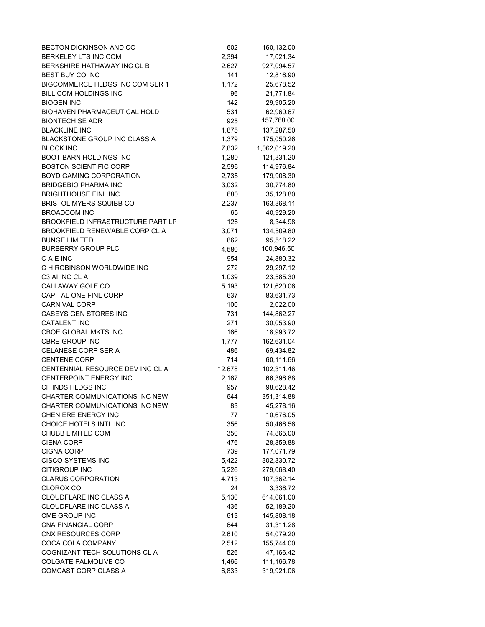| BECTON DICKINSON AND CO                  | 602    | 160,132.00   |
|------------------------------------------|--------|--------------|
| BERKELEY LTS INC COM                     | 2,394  | 17,021.34    |
| BERKSHIRE HATHAWAY INC CL B              | 2,627  | 927,094.57   |
| BEST BUY CO INC                          | 141    | 12,816.90    |
| BIGCOMMERCE HLDGS INC COM SER 1          | 1,172  | 25,678.52    |
| BILL COM HOLDINGS INC                    | 96     | 21,771.84    |
| <b>BIOGEN INC</b>                        | 142    | 29,905.20    |
| BIOHAVEN PHARMACEUTICAL HOLD             | 531    | 62,960.67    |
| <b>BIONTECH SE ADR</b>                   | 925    | 157,768.00   |
| <b>BLACKLINE INC</b>                     | 1,875  | 137,287.50   |
| <b>BLACKSTONE GROUP INC CLASS A</b>      | 1,379  | 175,050.26   |
| <b>BLOCK INC</b>                         | 7,832  | 1,062,019.20 |
| BOOT BARN HOLDINGS INC                   | 1,280  | 121,331.20   |
| <b>BOSTON SCIENTIFIC CORP</b>            | 2,596  | 114,976.84   |
| BOYD GAMING CORPORATION                  | 2,735  | 179,908.30   |
| <b>BRIDGEBIO PHARMA INC</b>              | 3,032  | 30,774.80    |
| <b>BRIGHTHOUSE FINL INC</b>              | 680    | 35,128.80    |
| <b>BRISTOL MYERS SQUIBB CO</b>           | 2,237  | 163,368.11   |
| <b>BROADCOM INC</b>                      | 65     | 40,929.20    |
| <b>BROOKFIELD INFRASTRUCTURE PART LP</b> | 126    | 8,344.98     |
| BROOKFIELD RENEWABLE CORP CL A           | 3,071  | 134,509.80   |
| <b>BUNGE LIMITED</b>                     | 862    | 95,518.22    |
| <b>BURBERRY GROUP PLC</b>                | 4,580  | 100,946.50   |
| C A E INC                                | 954    | 24,880.32    |
| C H ROBINSON WORLDWIDE INC               | 272    | 29,297.12    |
| C3 AI INC CL A                           | 1,039  | 23,585.30    |
| CALLAWAY GOLF CO                         | 5,193  | 121,620.06   |
| CAPITAL ONE FINL CORP                    | 637    | 83,631.73    |
| <b>CARNIVAL CORP</b>                     | 100    | 2,022.00     |
| CASEYS GEN STORES INC                    | 731    | 144,862.27   |
| <b>CATALENT INC</b>                      | 271    | 30,053.90    |
| <b>CBOE GLOBAL MKTS INC</b>              | 166    | 18,993.72    |
| <b>CBRE GROUP INC</b>                    | 1,777  | 162,631.04   |
| CELANESE CORP SER A                      | 486    | 69,434.82    |
| <b>CENTENE CORP</b>                      | 714    | 60,111.66    |
| CENTENNIAL RESOURCE DEV INC CL A         | 12,678 | 102,311.46   |
| CENTERPOINT ENERGY INC                   | 2,167  | 66,396.88    |
| CF INDS HLDGS INC                        | 957    | 98,628.42    |
| CHARTER COMMUNICATIONS INC NEW           | 644    | 351,314.88   |
| CHARTER COMMUNICATIONS INC NEW           | 83     | 45,278.16    |
| CHENIERE ENERGY INC                      | 77     | 10,676.05    |
| CHOICE HOTELS INTL INC                   | 356    | 50,466.56    |
| CHUBB LIMITED COM                        | 350    | 74,865.00    |
| <b>CIENA CORP</b>                        | 476    | 28,859.88    |
| <b>CIGNA CORP</b>                        | 739    | 177,071.79   |
| <b>CISCO SYSTEMS INC</b>                 | 5,422  | 302,330.72   |
| <b>CITIGROUP INC</b>                     | 5,226  | 279,068.40   |
| <b>CLARUS CORPORATION</b>                | 4,713  | 107,362.14   |
| <b>CLOROX CO</b>                         | 24     | 3,336.72     |
| CLOUDFLARE INC CLASS A                   | 5,130  | 614,061.00   |
| CLOUDFLARE INC CLASS A                   | 436    | 52,189.20    |
| CME GROUP INC                            | 613    | 145,808.18   |
| CNA FINANCIAL CORP                       | 644    | 31,311.28    |
| CNX RESOURCES CORP                       | 2,610  | 54,079.20    |
| COCA COLA COMPANY                        | 2,512  | 155,744.00   |
| COGNIZANT TECH SOLUTIONS CL A            | 526    | 47,166.42    |
| COLGATE PALMOLIVE CO                     | 1,466  | 111,166.78   |
| COMCAST CORP CLASS A                     | 6,833  | 319,921.06   |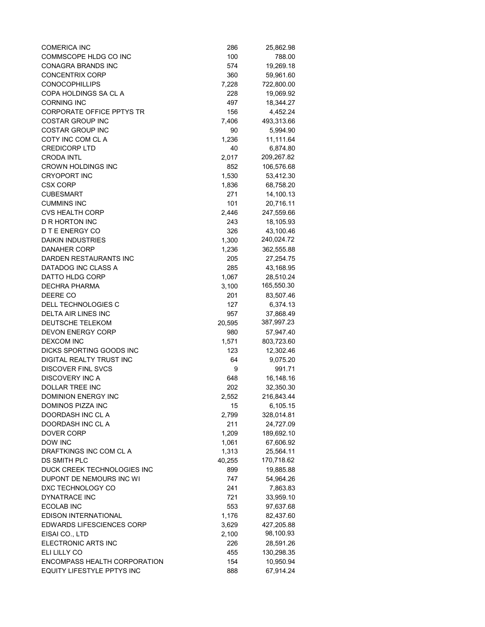| <b>COMERICA INC</b>                           | 286    | 25,862.98               |
|-----------------------------------------------|--------|-------------------------|
| COMMSCOPE HLDG CO INC                         | 100    | 788.00                  |
| <b>CONAGRA BRANDS INC</b>                     | 574    | 19,269.18               |
| <b>CONCENTRIX CORP</b>                        | 360    | 59,961.60               |
| <b>CONOCOPHILLIPS</b>                         | 7,228  | 722,800.00              |
| COPA HOLDINGS SA CL A                         | 228    | 19,069.92               |
| <b>CORNING INC</b>                            | 497    | 18,344.27               |
| <b>CORPORATE OFFICE PPTYS TR</b>              | 156    | 4,452.24                |
| <b>COSTAR GROUP INC</b>                       | 7,406  | 493,313.66              |
| <b>COSTAR GROUP INC</b>                       | 90     | 5,994.90                |
| COTY INC COM CL A                             | 1,236  | 11,111.64               |
| <b>CREDICORP LTD</b>                          | 40     | 6,874.80                |
| <b>CRODA INTL</b>                             | 2,017  | 209,267.82              |
| CROWN HOLDINGS INC                            | 852    | 106,576.68              |
| <b>CRYOPORT INC</b>                           | 1,530  | 53,412.30               |
| <b>CSX CORP</b>                               | 1,836  | 68,758.20               |
| <b>CUBESMART</b>                              | 271    | 14,100.13               |
| <b>CUMMINS INC</b>                            | 101    | 20,716.11               |
| <b>CVS HEALTH CORP</b>                        | 2,446  | 247,559.66              |
| <b>D R HORTON INC</b>                         | 243    | 18,105.93               |
| D T E ENERGY CO                               | 326    | 43,100.46               |
| <b>DAIKIN INDUSTRIES</b>                      | 1,300  | 240,024.72              |
| <b>DANAHER CORP</b>                           | 1,236  | 362,555.88              |
| DARDEN RESTAURANTS INC                        | 205    | 27,254.75               |
| DATADOG INC CLASS A                           | 285    | 43,168.95               |
| DATTO HLDG CORP                               | 1,067  | 28,510.24               |
| <b>DECHRA PHARMA</b>                          | 3,100  | 165,550.30              |
| DEERE CO                                      |        |                         |
| DELL TECHNOLOGIES C                           | 201    | 83,507.46               |
|                                               | 127    | 6,374.13                |
| DELTA AIR LINES INC<br>DEUTSCHE TELEKOM       | 957    | 37,868.49<br>387,997.23 |
|                                               | 20,595 |                         |
| <b>DEVON ENERGY CORP</b>                      | 980    | 57,947.40               |
| <b>DEXCOM INC</b><br>DICKS SPORTING GOODS INC | 1,571  | 803,723.60              |
|                                               | 123    | 12,302.46               |
| DIGITAL REALTY TRUST INC                      | 64     | 9,075.20                |
| <b>DISCOVER FINL SVCS</b>                     | 9      | 991.71                  |
| <b>DISCOVERY INC A</b>                        | 648    | 16,148.16               |
| <b>DOLLAR TREE INC</b>                        | 202    | 32,350.30               |
| DOMINION ENERGY INC                           | 2,552  | 216,843.44              |
| <b>DOMINOS PIZZA INC</b>                      | 15     | 6,105.15                |
| DOORDASH INC CL A                             | 2,799  | 328,014.81              |
| DOORDASH INC CL A                             | 211    | 24,727.09               |
| <b>DOVER CORP</b>                             | 1,209  | 189,692.10              |
| DOW INC                                       | 1,061  | 67,606.92               |
| DRAFTKINGS INC COM CL A                       | 1,313  | 25,564.11               |
| DS SMITH PLC                                  | 40,255 | 170,718.62              |
| DUCK CREEK TECHNOLOGIES INC                   | 899    | 19,885.88               |
| DUPONT DE NEMOURS INC WI                      | 747    | 54,964.26               |
| DXC TECHNOLOGY CO                             | 241    | 7,863.83                |
| <b>DYNATRACE INC</b>                          | 721    | 33,959.10               |
| ECOLAB INC                                    | 553    | 97,637.68               |
| EDISON INTERNATIONAL                          | 1,176  | 82,437.60               |
| <b>EDWARDS LIFESCIENCES CORP</b>              | 3,629  | 427,205.88              |
| EISAI CO., LTD                                | 2,100  | 98,100.93               |
| ELECTRONIC ARTS INC                           | 226    | 28,591.26               |
| ELI LILLY CO                                  | 455    | 130,298.35              |
| ENCOMPASS HEALTH CORPORATION                  | 154    | 10,950.94               |
| <b>EQUITY LIFESTYLE PPTYS INC</b>             | 888    | 67,914.24               |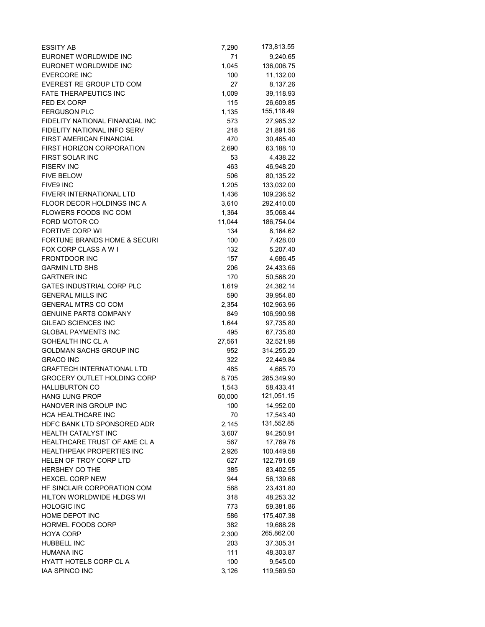| <b>ESSITY AB</b>                        | 7,290  | 173,813.55 |
|-----------------------------------------|--------|------------|
| EURONET WORLDWIDE INC                   | 71     | 9,240.65   |
| EURONET WORLDWIDE INC                   | 1,045  | 136,006.75 |
| <b>EVERCORE INC</b>                     | 100    | 11,132.00  |
| EVEREST RE GROUP LTD COM                | 27     | 8,137.26   |
| <b>FATE THERAPEUTICS INC</b>            | 1,009  | 39,118.93  |
| <b>FED EX CORP</b>                      | 115    | 26,609.85  |
| <b>FERGUSON PLC</b>                     | 1,135  | 155,118.49 |
| FIDELITY NATIONAL FINANCIAL INC         | 573    | 27,985.32  |
| FIDELITY NATIONAL INFO SERV             | 218    | 21,891.56  |
| <b>FIRST AMERICAN FINANCIAL</b>         | 470    | 30,465.40  |
| FIRST HORIZON CORPORATION               | 2,690  | 63,188.10  |
| FIRST SOLAR INC                         | 53     | 4,438.22   |
| <b>FISERV INC</b>                       | 463    | 46,948.20  |
| <b>FIVE BELOW</b>                       | 506    | 80,135.22  |
| FIVE9 INC                               | 1,205  | 133,032.00 |
| FIVERR INTERNATIONAL LTD                | 1,436  | 109,236.52 |
| FLOOR DECOR HOLDINGS INC A              | 3,610  | 292,410.00 |
| <b>FLOWERS FOODS INC COM</b>            | 1,364  | 35,068.44  |
| FORD MOTOR CO                           | 11,044 | 186,754.04 |
| <b>FORTIVE CORP WI</b>                  | 134    | 8,164.62   |
| <b>FORTUNE BRANDS HOME &amp; SECURI</b> | 100    | 7,428.00   |
| FOX CORP CLASS A W I                    | 132    | 5,207.40   |
| <b>FRONTDOOR INC</b>                    | 157    | 4,686.45   |
| <b>GARMIN LTD SHS</b>                   | 206    | 24,433.66  |
| <b>GARTNER INC</b>                      | 170    | 50,568.20  |
| <b>GATES INDUSTRIAL CORP PLC</b>        | 1,619  | 24,382.14  |
| <b>GENERAL MILLS INC</b>                | 590    | 39,954.80  |
| <b>GENERAL MTRS CO COM</b>              | 2,354  | 102,963.96 |
| <b>GENUINE PARTS COMPANY</b>            | 849    | 106,990.98 |
| <b>GILEAD SCIENCES INC</b>              | 1,644  | 97,735.80  |
| <b>GLOBAL PAYMENTS INC</b>              | 495    | 67,735.80  |
| <b>GOHEALTH INC CL A</b>                | 27,561 | 32,521.98  |
| GOLDMAN SACHS GROUP INC                 | 952    | 314,255.20 |
| <b>GRACO INC</b>                        | 322    | 22,449.84  |
| <b>GRAFTECH INTERNATIONAL LTD</b>       | 485    | 4,665.70   |
| <b>GROCERY OUTLET HOLDING CORP</b>      | 8,705  | 285,349.90 |
| <b>HALLIBURTON CO</b>                   | 1,543  | 58,433.41  |
| <b>HANG LUNG PROP</b>                   | 60,000 | 121,051.15 |
| HANOVER INS GROUP INC                   | 100    | 14,952.00  |
| HCA HEALTHCARE INC                      | 70     | 17,543.40  |
| HDFC BANK LTD SPONSORED ADR             | 2,145  | 131,552.85 |
| HEALTH CATALYST INC                     | 3,607  | 94,250.91  |
| HEALTHCARE TRUST OF AME CL A            | 567    | 17,769.78  |
| HEALTHPEAK PROPERTIES INC               | 2,926  | 100,449.58 |
| HELEN OF TROY CORP LTD                  | 627    | 122,791.68 |
| <b>HERSHEY CO THE</b>                   | 385    | 83,402.55  |
| <b>HEXCEL CORP NEW</b>                  | 944    | 56,139.68  |
| HF SINCLAIR CORPORATION COM             | 588    | 23,431.80  |
| HILTON WORLDWIDE HLDGS WI               | 318    | 48,253.32  |
| <b>HOLOGIC INC</b>                      | 773    | 59,381.86  |
| HOME DEPOT INC                          | 586    | 175,407.38 |
| HORMEL FOODS CORP                       | 382    | 19,688.28  |
| <b>HOYA CORP</b>                        | 2,300  | 265,862.00 |
| <b>HUBBELL INC</b>                      | 203    | 37,305.31  |
| <b>HUMANA INC</b>                       | 111    | 48,303.87  |
| HYATT HOTELS CORP CL A                  | 100    | 9,545.00   |
| <b>IAA SPINCO INC</b>                   | 3,126  | 119,569.50 |
|                                         |        |            |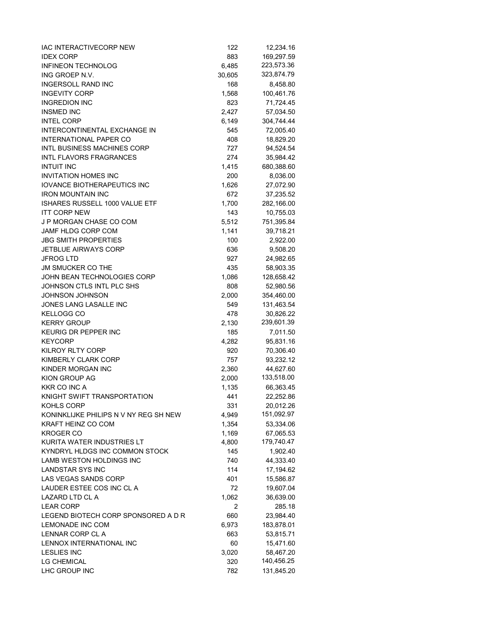| IAC INTERACTIVECORP NEW                                            | 122          | 12,234.16               |
|--------------------------------------------------------------------|--------------|-------------------------|
| <b>IDEX CORP</b>                                                   | 883          | 169,297.59              |
| <b>INFINEON TECHNOLOG</b>                                          | 6,485        | 223,573.36              |
| ING GROEP N.V.                                                     | 30,605       | 323,874.79              |
| <b>INGERSOLL RAND INC</b>                                          | 168          | 8,458.80                |
| <b>INGEVITY CORP</b>                                               | 1,568        | 100,461.76              |
| <b>INGREDION INC</b>                                               | 823          | 71,724.45               |
| <b>INSMED INC</b>                                                  | 2,427        | 57,034.50               |
| <b>INTEL CORP</b>                                                  | 6,149        | 304,744.44              |
| INTERCONTINENTAL EXCHANGE IN                                       | 545          | 72,005.40               |
| <b>INTERNATIONAL PAPER CO</b>                                      | 408          | 18,829.20               |
| <b>INTL BUSINESS MACHINES CORP</b>                                 | 727          | 94,524.54               |
| <b>INTL FLAVORS FRAGRANCES</b>                                     | 274          | 35,984.42               |
| <b>INTUIT INC</b>                                                  | 1,415        | 680,388.60              |
| <b>INVITATION HOMES INC</b>                                        | 200          | 8,036.00                |
| <b>IOVANCE BIOTHERAPEUTICS INC</b>                                 | 1,626        | 27,072.90               |
| <b>IRON MOUNTAIN INC</b>                                           | 672          | 37,235.52               |
| ISHARES RUSSELL 1000 VALUE ETF                                     | 1,700        | 282,166.00              |
| <b>ITT CORP NEW</b>                                                | 143          | 10,755.03               |
| <b>J P MORGAN CHASE CO COM</b>                                     | 5,512        | 751,395.84              |
| JAMF HLDG CORP COM                                                 | 1,141        | 39,718.21               |
| <b>JBG SMITH PROPERTIES</b>                                        | 100          | 2,922.00                |
| <b>JETBLUE AIRWAYS CORP</b>                                        | 636          | 9,508.20                |
| <b>JFROG LTD</b>                                                   | 927          | 24,982.65               |
| <b>JM SMUCKER CO THE</b>                                           | 435          | 58,903.35               |
| JOHN BEAN TECHNOLOGIES CORP                                        | 1,086        | 128,658.42              |
| JOHNSON CTLS INTL PLC SHS                                          | 808          | 52,980.56               |
| <b>JOHNSON JOHNSON</b>                                             | 2,000        | 354,460.00              |
| JONES LANG LASALLE INC                                             | 549          | 131,463.54              |
| <b>KELLOGG CO</b>                                                  | 478          | 30,826.22               |
| <b>KERRY GROUP</b>                                                 |              | 239,601.39              |
| KEURIG DR PEPPER INC                                               | 2,130<br>185 |                         |
| <b>KEYCORP</b>                                                     | 4,282        | 7,011.50<br>95,831.16   |
| <b>KILROY RLTY CORP</b>                                            | 920          | 70,306.40               |
| KIMBERLY CLARK CORP                                                |              |                         |
| KINDER MORGAN INC                                                  | 757          | 93,232.12               |
| KION GROUP AG                                                      | 2,360        | 44,627.60<br>133,518.00 |
| <b>KKR CO INC A</b>                                                | 2,000        |                         |
|                                                                    | 1,135        | 66,363.45               |
| KNIGHT SWIFT TRANSPORTATION                                        | 441          | 22,252.86               |
| KOHLS CORP                                                         | 331          | 20,012.26<br>151,092.97 |
| KONINKLIJKE PHILIPS N V NY REG SH NEW<br><b>KRAFT HEINZ CO COM</b> | 4,949        |                         |
|                                                                    | 1,354        | 53,334.06               |
| <b>KROGER CO</b>                                                   | 1,169        | 67,065.53<br>179,740.47 |
| KURITA WATER INDUSTRIES LT                                         | 4,800        |                         |
| KYNDRYL HLDGS INC COMMON STOCK                                     | 145          | 1,902.40                |
| <b>LAMB WESTON HOLDINGS INC</b>                                    | 740          | 44,333.40               |
| <b>LANDSTAR SYS INC</b>                                            | 114          | 17,194.62               |
| <b>LAS VEGAS SANDS CORP</b>                                        | 401          | 15,586.87               |
| LAUDER ESTEE COS INC CL A                                          | 72           | 19,607.04               |
| LAZARD LTD CL A                                                    | 1,062        | 36,639.00               |
| <b>LEAR CORP</b>                                                   | 2            | 285.18                  |
| LEGEND BIOTECH CORP SPONSORED A D R                                | 660          | 23,984.40               |
| LEMONADE INC COM                                                   | 6,973        | 183,878.01              |
| LENNAR CORP CL A                                                   | 663          | 53,815.71               |
| LENNOX INTERNATIONAL INC                                           | 60           | 15,471.60               |
| <b>LESLIES INC</b>                                                 | 3,020        | 58,467.20               |
| <b>LG CHEMICAL</b>                                                 | 320          | 140,456.25              |
| LHC GROUP INC                                                      | 782          | 131,845.20              |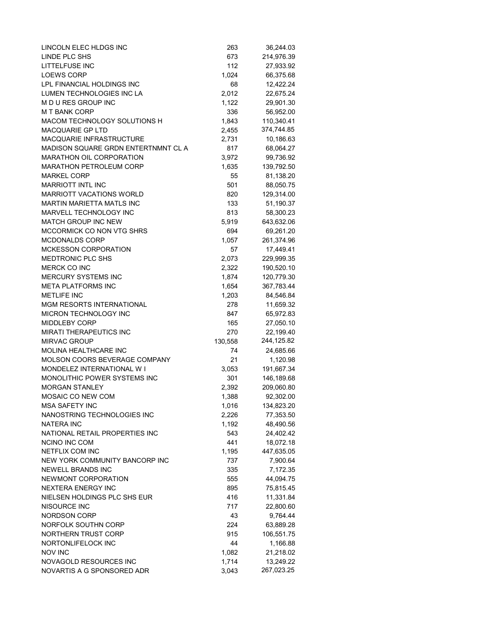| LINCOLN ELEC HLDGS INC              | 263     | 36,244.03  |
|-------------------------------------|---------|------------|
| LINDE PLC SHS                       | 673     | 214,976.39 |
| <b>LITTELFUSE INC</b>               | 112     | 27,933.92  |
| <b>LOEWS CORP</b>                   | 1,024   | 66,375.68  |
| LPL FINANCIAL HOLDINGS INC          | 68      | 12,422.24  |
| LUMEN TECHNOLOGIES INC LA           | 2,012   | 22,675.24  |
| M D U RES GROUP INC                 | 1,122   | 29,901.30  |
| <b>M T BANK CORP</b>                | 336     | 56,952.00  |
| MACOM TECHNOLOGY SOLUTIONS H        | 1,843   | 110,340.41 |
| <b>MACQUARIE GP LTD</b>             | 2,455   | 374,744.85 |
| MACQUARIE INFRASTRUCTURE            | 2,731   | 10,186.63  |
| MADISON SQUARE GRDN ENTERTNMNT CL A | 817     | 68,064.27  |
| MARATHON OIL CORPORATION            | 3,972   | 99,736.92  |
| <b>MARATHON PETROLEUM CORP</b>      | 1,635   | 139,792.50 |
| <b>MARKEL CORP</b>                  | 55      | 81,138.20  |
| <b>MARRIOTT INTL INC</b>            | 501     | 88,050.75  |
| <b>MARRIOTT VACATIONS WORLD</b>     | 820     | 129,314.00 |
| <b>MARTIN MARIETTA MATLS INC</b>    | 133     | 51,190.37  |
| MARVELL TECHNOLOGY INC              | 813     | 58,300.23  |
| <b>MATCH GROUP INC NEW</b>          | 5,919   | 643,632.06 |
| MCCORMICK CO NON VTG SHRS           | 694     | 69,261.20  |
| MCDONALDS CORP                      | 1,057   | 261,374.96 |
| <b>MCKESSON CORPORATION</b>         | 57      | 17,449.41  |
| MEDTRONIC PLC SHS                   | 2,073   | 229,999.35 |
| <b>MERCK CO INC</b>                 | 2,322   | 190,520.10 |
| MERCURY SYSTEMS INC                 | 1,874   | 120,779.30 |
| <b>META PLATFORMS INC</b>           | 1,654   | 367,783.44 |
| <b>METLIFE INC</b>                  | 1,203   | 84,546.84  |
| MGM RESORTS INTERNATIONAL           | 278     | 11,659.32  |
| MICRON TECHNOLOGY INC               | 847     | 65,972.83  |
| <b>MIDDLEBY CORP</b>                | 165     | 27,050.10  |
| <b>MIRATI THERAPEUTICS INC</b>      | 270     | 22,199.40  |
| <b>MIRVAC GROUP</b>                 | 130,558 | 244,125.82 |
| MOLINA HEALTHCARE INC               | 74      | 24,685.66  |
| MOLSON COORS BEVERAGE COMPANY       | 21      | 1,120.98   |
| MONDELEZ INTERNATIONAL W I          | 3,053   | 191,667.34 |
| MONOLITHIC POWER SYSTEMS INC        | 301     | 146,189.68 |
| <b>MORGAN STANLEY</b>               | 2,392   | 209,060.80 |
| MOSAIC CO NEW COM                   | 1,388   | 92,302.00  |
| <b>MSA SAFETY INC</b>               | 1,016   | 134,823.20 |
| NANOSTRING TECHNOLOGIES INC         | 2,226   | 77,353.50  |
| NATERA INC                          | 1,192   | 48,490.56  |
| NATIONAL RETAIL PROPERTIES INC      | 543     | 24,402.42  |
| <b>NCINO INC COM</b>                | 441     | 18,072.18  |
| NETFLIX COM INC                     | 1,195   | 447,635.05 |
| NEW YORK COMMUNITY BANCORP INC      | 737     | 7,900.64   |
| NEWELL BRANDS INC                   | 335     | 7,172.35   |
| NEWMONT CORPORATION                 | 555     | 44,094.75  |
| <b>NEXTERA ENERGY INC</b>           | 895     | 75,815.45  |
| NIELSEN HOLDINGS PLC SHS EUR        | 416     | 11,331.84  |
| NISOURCE INC                        | 717     | 22,800.60  |
| NORDSON CORP                        | 43      | 9,764.44   |
| NORFOLK SOUTHN CORP                 | 224     | 63,889.28  |
| NORTHERN TRUST CORP                 | 915     | 106,551.75 |
| NORTONLIFELOCK INC                  | 44      | 1,166.88   |
| <b>NOV INC</b>                      | 1,082   | 21,218.02  |
| NOVAGOLD RESOURCES INC              | 1,714   | 13,249.22  |
| NOVARTIS A G SPONSORED ADR          | 3,043   | 267,023.25 |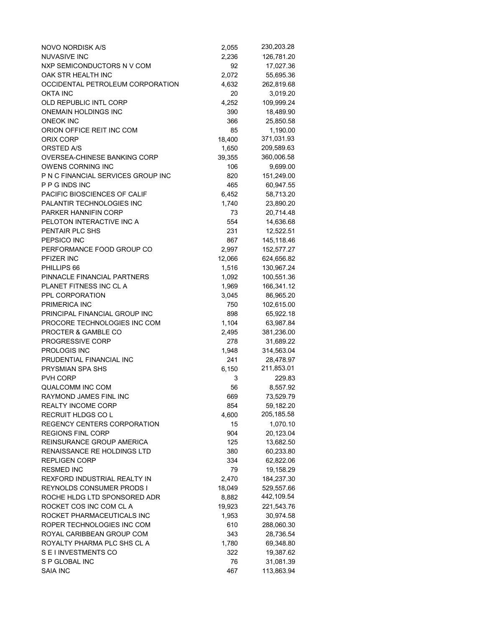| NOVO NORDISK A/S                   | 2,055  | 230,203.28 |
|------------------------------------|--------|------------|
| <b>NUVASIVE INC</b>                | 2,236  | 126,781.20 |
| NXP SEMICONDUCTORS N V COM         | 92     | 17,027.36  |
| OAK STR HEALTH INC                 | 2,072  | 55,695.36  |
| OCCIDENTAL PETROLEUM CORPORATION   | 4,632  | 262,819.68 |
| <b>OKTA INC</b>                    | 20     | 3,019.20   |
| OLD REPUBLIC INTL CORP             | 4,252  | 109,999.24 |
| <b>ONEMAIN HOLDINGS INC</b>        | 390    | 18,489.90  |
| <b>ONEOK INC</b>                   | 366    | 25,850.58  |
| ORION OFFICE REIT INC COM          | 85     | 1,190.00   |
| ORIX CORP                          | 18,400 | 371,031.93 |
| ORSTED A/S                         | 1,650  | 209,589.63 |
| OVERSEA-CHINESE BANKING CORP       | 39,355 | 360,006.58 |
| OWENS CORNING INC                  | 106    | 9,699.00   |
| P N C FINANCIAL SERVICES GROUP INC | 820    | 151,249.00 |
| P P G INDS INC                     | 465    | 60,947.55  |
| PACIFIC BIOSCIENCES OF CALIF       | 6,452  | 58,713.20  |
| PALANTIR TECHNOLOGIES INC          | 1,740  | 23,890.20  |
| <b>PARKER HANNIFIN CORP</b>        | 73     | 20,714.48  |
| PELOTON INTERACTIVE INC A          | 554    | 14,636.68  |
| PENTAIR PLC SHS                    | 231    | 12,522.51  |
| PEPSICO INC                        | 867    | 145,118.46 |
| PERFORMANCE FOOD GROUP CO          | 2,997  | 152,577.27 |
| PFIZER INC                         | 12,066 | 624,656.82 |
| PHILLIPS 66                        | 1,516  | 130,967.24 |
| PINNACLE FINANCIAL PARTNERS        | 1,092  | 100,551.36 |
| PLANET FITNESS INC CL A            | 1,969  | 166,341.12 |
| PPL CORPORATION                    | 3,045  | 86,965.20  |
| PRIMERICA INC                      | 750    | 102,615.00 |
| PRINCIPAL FINANCIAL GROUP INC      | 898    | 65,922.18  |
| PROCORE TECHNOLOGIES INC COM       | 1,104  | 63,987.84  |
| PROCTER & GAMBLE CO                | 2,495  | 381,236.00 |
| PROGRESSIVE CORP                   | 278    | 31,689.22  |
| PROLOGIS INC                       | 1,948  | 314,563.04 |
| PRUDENTIAL FINANCIAL INC           | 241    | 28,478.97  |
| PRYSMIAN SPA SHS                   | 6,150  | 211,853.01 |
| PVH CORP                           | 3      | 229.83     |
| QUALCOMM INC COM                   | 56     | 8,557.92   |
| RAYMOND JAMES FINL INC             | 669    | 73,529.79  |
| <b>REALTY INCOME CORP</b>          | 854    | 59,182.20  |
| RECRUIT HLDGS CO L                 | 4,600  | 205,185.58 |
| REGENCY CENTERS CORPORATION        | 15     | 1,070.10   |
| <b>REGIONS FINL CORP</b>           | 904    | 20,123.04  |
| REINSURANCE GROUP AMERICA          | 125    | 13,682.50  |
| RENAISSANCE RE HOLDINGS LTD        | 380    | 60,233.80  |
| <b>REPLIGEN CORP</b>               | 334    | 62,822.06  |
| <b>RESMED INC</b>                  | 79     | 19,158.29  |
| REXFORD INDUSTRIAL REALTY IN       | 2,470  | 184,237.30 |
| <b>REYNOLDS CONSUMER PRODS I</b>   | 18,049 | 529,557.66 |
| ROCHE HLDG LTD SPONSORED ADR       | 8,882  | 442,109.54 |
| ROCKET COS INC COM CL A            | 19,923 | 221,543.76 |
| ROCKET PHARMACEUTICALS INC         | 1,953  | 30,974.58  |
| ROPER TECHNOLOGIES INC COM         | 610    | 288,060.30 |
| ROYAL CARIBBEAN GROUP COM          | 343    | 28,736.54  |
| ROYALTY PHARMA PLC SHS CL A        | 1,780  | 69,348.80  |
| S E I INVESTMENTS CO               | 322    | 19,387.62  |
| S P GLOBAL INC                     | 76     | 31,081.39  |
| <b>SAIA INC</b>                    | 467    | 113,863.94 |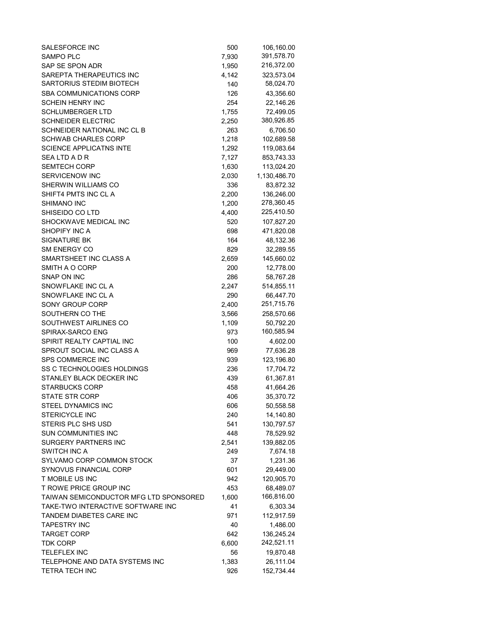| SALESFORCE INC                         | 500   | 106,160.00   |
|----------------------------------------|-------|--------------|
| <b>SAMPO PLC</b>                       | 7,930 | 391,578.70   |
| SAP SE SPON ADR                        | 1,950 | 216,372.00   |
| SAREPTA THERAPEUTICS INC               | 4,142 | 323,573.04   |
| SARTORIUS STEDIM BIOTECH               | 140   | 58,024.70    |
| SBA COMMUNICATIONS CORP                | 126   | 43,356.60    |
| SCHEIN HENRY INC                       | 254   | 22,146.26    |
| <b>SCHLUMBERGER LTD</b>                | 1,755 | 72,499.05    |
|                                        |       |              |
| <b>SCHNEIDER ELECTRIC</b>              | 2,250 | 380,926.85   |
| SCHNEIDER NATIONAL INC CL B            | 263   | 6,706.50     |
| SCHWAB CHARLES CORP                    | 1,218 | 102,689.58   |
| <b>SCIENCE APPLICATNS INTE</b>         | 1,292 | 119,083.64   |
| SEA LTD A D R                          | 7,127 | 853,743.33   |
| <b>SEMTECH CORP</b>                    | 1,630 | 113,024.20   |
| SERVICENOW INC                         | 2,030 | 1,130,486.70 |
| SHERWIN WILLIAMS CO                    | 336   | 83,872.32    |
| SHIFT4 PMTS INC CL A                   | 2,200 | 136,246.00   |
| SHIMANO INC                            | 1,200 | 278,360.45   |
| SHISEIDO CO LTD                        | 4,400 | 225,410.50   |
| SHOCKWAVE MEDICAL INC                  | 520   | 107,827.20   |
| SHOPIFY INC A                          | 698   | 471,820.08   |
| SIGNATURE BK                           | 164   | 48,132.36    |
| SM ENERGY CO                           | 829   | 32,289.55    |
| SMARTSHEET INC CLASS A                 |       |              |
|                                        | 2,659 | 145,660.02   |
| SMITH A O CORP                         | 200   | 12,778.00    |
| SNAP ON INC                            | 286   | 58,767.28    |
| SNOWFLAKE INC CL A                     | 2,247 | 514,855.11   |
| SNOWFLAKE INC CL A                     | 290   | 66,447.70    |
| SONY GROUP CORP                        | 2,400 | 251,715.76   |
| SOUTHERN CO THE                        | 3,566 | 258,570.66   |
| SOUTHWEST AIRLINES CO                  | 1,109 | 50,792.20    |
| SPIRAX-SARCO ENG                       | 973   | 160,585.94   |
| SPIRIT REALTY CAPTIAL INC              | 100   | 4,602.00     |
| SPROUT SOCIAL INC CLASS A              | 969   | 77,636.28    |
| SPS COMMERCE INC                       | 939   | 123,196.80   |
| SS C TECHNOLOGIES HOLDINGS             | 236   | 17,704.72    |
| STANLEY BLACK DECKER INC               | 439   | 61,367.81    |
| <b>STARBUCKS CORP</b>                  | 458   | 41,664.26    |
| <b>STATE STR CORP</b>                  | 406   | 35,370.72    |
| STEEL DYNAMICS INC                     | 606   |              |
|                                        | 240   | 50,558.58    |
| <b>STERICYCLE INC</b>                  |       | 14,140.80    |
| STERIS PLC SHS USD                     | 541   | 130,797.57   |
| <b>SUN COMMUNITIES INC</b>             | 448   | 78,529.92    |
| <b>SURGERY PARTNERS INC</b>            | 2,541 | 139,882.05   |
| SWITCH INC A                           | 249   | 7,674.18     |
| SYLVAMO CORP COMMON STOCK              | 37    | 1,231.36     |
| SYNOVUS FINANCIAL CORP                 | 601   | 29,449.00    |
| T MOBILE US INC                        | 942   | 120,905.70   |
| T ROWE PRICE GROUP INC                 | 453   | 68,489.07    |
| TAIWAN SEMICONDUCTOR MFG LTD SPONSORED | 1,600 | 166,816.00   |
| TAKE-TWO INTERACTIVE SOFTWARE INC      | 41    | 6,303.34     |
| TANDEM DIABETES CARE INC               | 971   | 112,917.59   |
| <b>TAPESTRY INC</b>                    | 40    | 1,486.00     |
| <b>TARGET CORP</b>                     | 642   | 136,245.24   |
| TDK CORP                               | 6,600 | 242,521.11   |
| <b>TELEFLEX INC</b>                    | 56    | 19,870.48    |
| TELEPHONE AND DATA SYSTEMS INC         | 1,383 | 26,111.04    |
|                                        |       |              |
| <b>TETRA TECH INC</b>                  | 926   | 152,734.44   |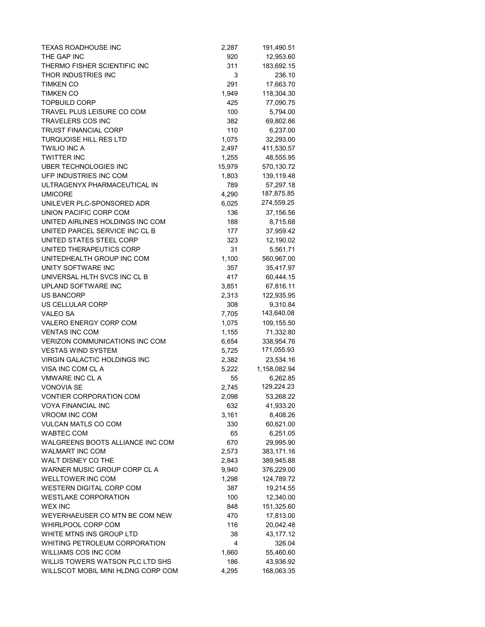| TEXAS ROADHOUSE INC                   | 2,287  | 191,490.51   |
|---------------------------------------|--------|--------------|
| THE GAP INC                           | 920    | 12,953.60    |
| THERMO FISHER SCIENTIFIC INC          | 311    | 183,692.15   |
| THOR INDUSTRIES INC                   | 3      | 236.10       |
| <b>TIMKEN CO</b>                      | 291    | 17,663.70    |
| <b>TIMKEN CO</b>                      | 1,949  | 118,304.30   |
| <b>TOPBUILD CORP</b>                  | 425    | 77,090.75    |
| TRAVEL PLUS LEISURE CO COM            | 100    | 5,794.00     |
| TRAVELERS COS INC                     | 382    | 69,802.86    |
| <b>TRUIST FINANCIAL CORP</b>          | 110    | 6,237.00     |
| <b>TURQUOISE HILL RES LTD</b>         | 1,075  | 32,293.00    |
| <b>TWILIO INC A</b>                   | 2,497  | 411,530.57   |
| <b>TWITTER INC</b>                    | 1,255  | 48,555.95    |
| UBER TECHNOLOGIES INC                 | 15,979 | 570,130.72   |
| UFP INDUSTRIES INC COM                | 1,803  | 139,119.48   |
| ULTRAGENYX PHARMACEUTICAL IN          | 789    | 57,297.18    |
| <b>UMICORE</b>                        | 4,290  | 187,875.85   |
| UNILEVER PLC-SPONSORED ADR            | 6,025  | 274,559.25   |
| UNION PACIFIC CORP COM                | 136    | 37,156.56    |
| UNITED AIRLINES HOLDINGS INC COM      | 188    | 8,715.68     |
| UNITED PARCEL SERVICE INC CL B        | 177    | 37,959.42    |
| UNITED STATES STEEL CORP              | 323    | 12,190.02    |
| UNITED THERAPEUTICS CORP              | 31     | 5,561.71     |
| UNITEDHEALTH GROUP INC COM            | 1,100  | 560,967.00   |
| UNITY SOFTWARE INC                    | 357    | 35,417.97    |
| UNIVERSAL HLTH SVCS INC CL B          | 417    | 60,444.15    |
| UPLAND SOFTWARE INC                   | 3,851  | 67,816.11    |
| <b>US BANCORP</b>                     | 2,313  | 122,935.95   |
| US CELLULAR CORP                      | 308    | 9,310.84     |
| <b>VALEO SA</b>                       | 7,705  | 143,640.08   |
| VALERO ENERGY CORP COM                | 1,075  | 109,155.50   |
| <b>VENTAS INC COM</b>                 | 1,155  | 71,332.80    |
| <b>VERIZON COMMUNICATIONS INC COM</b> | 6,654  | 338,954.76   |
| <b>VESTAS WIND SYSTEM</b>             | 5,725  | 171,055.93   |
| <b>VIRGIN GALACTIC HOLDINGS INC</b>   | 2,382  | 23,534.16    |
| VISA INC COM CL A                     | 5,222  | 1,158,082.94 |
| <b>VMWARE INC CLA</b>                 | 55     | 6,262.85     |
| <b>VONOVIA SE</b>                     | 2,745  | 129,224.23   |
| <b>VONTIER CORPORATION COM</b>        | 2,098  | 53,268.22    |
| <b>VOYA FINANCIAL INC</b>             | 632    | 41,933.20    |
| VROOM INC COM                         | 3,161  | 8,408.26     |
| <b>VULCAN MATLS CO COM</b>            | 330    | 60,621.00    |
| WABTEC COM                            | 65     | 6,251.05     |
| WALGREENS BOOTS ALLIANCE INC COM      | 670    | 29,995.90    |
| WALMART INC COM                       | 2,573  | 383,171.16   |
| WALT DISNEY CO THE                    | 2,843  | 389,945.88   |
| WARNER MUSIC GROUP CORP CL A          | 9,940  | 376,229.00   |
| <b>WELLTOWER INC COM</b>              | 1,298  | 124,789.72   |
| WESTERN DIGITAL CORP COM              | 387    | 19,214.55    |
| <b>WESTLAKE CORPORATION</b>           | 100    | 12,340.00    |
| <b>WEX INC</b>                        | 848    | 151,325.60   |
| WEYERHAEUSER CO MTN BE COM NEW        | 470    | 17,813.00    |
| WHIRLPOOL CORP COM                    | 116    | 20,042.48    |
| WHITE MTNS INS GROUP LTD              | 38     | 43, 177. 12  |
| WHITING PETROLEUM CORPORATION         | 4      | 326.04       |
| WILLIAMS COS INC COM                  | 1,660  | 55,460.60    |
| WILLIS TOWERS WATSON PLC LTD SHS      | 186    | 43,936.92    |
| WILLSCOT MOBIL MINI HLDNG CORP COM    | 4,295  | 168,063.35   |
|                                       |        |              |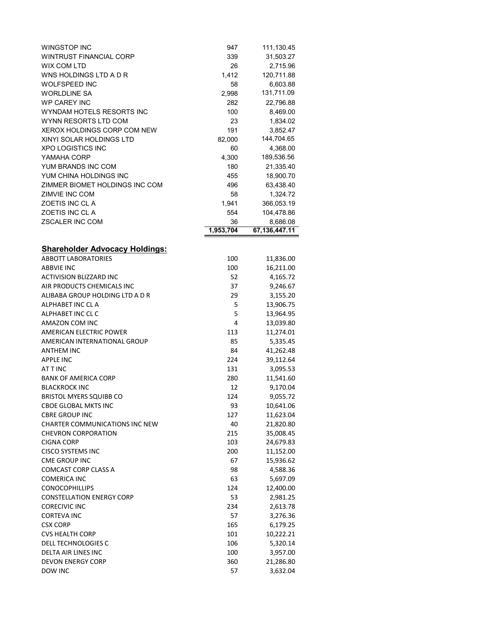| WINGSTOP INC                          | 947       | 111,130.45           |
|---------------------------------------|-----------|----------------------|
| <b>WINTRUST FINANCIAL CORP</b>        | 339       | 31,503.27            |
| <b>WIX COM LTD</b>                    | 26        | 2,715.96             |
| WNS HOLDINGS LTD A D R                | 1,412     | 120,711.88           |
| <b>WOLFSPEED INC</b>                  | 58        | 6,603.88             |
| <b>WORLDLINE SA</b>                   | 2,998     | 131,711.09           |
| <b>WP CAREY INC</b>                   | 282       | 22,796.88            |
| WYNDAM HOTELS RESORTS INC             | 100       | 8,469.00             |
| WYNN RESORTS LTD COM                  | 23        | 1,834.02             |
| XEROX HOLDINGS CORP COM NEW           | 191       | 3,852.47             |
| XINYI SOLAR HOLDINGS LTD              | 82,000    | 144,704.65           |
| <b>XPO LOGISTICS INC</b>              | 60        | 4,368.00             |
| YAMAHA CORP                           | 4,300     | 189,536.56           |
| YUM BRANDS INC COM                    | 180       | 21,335.40            |
| YUM CHINA HOLDINGS INC                | 455       | 18,900.70            |
| ZIMMER BIOMET HOLDINGS INC COM        | 496       | 63,438.40            |
| ZIMVIE INC COM                        | 58        | 1,324.72             |
| ZOETIS INC CL A                       | 1,941     | 366,053.19           |
| ZOETIS INC CL A                       | 554       | 104,478.86           |
| <b>ZSCALER INC COM</b>                | 36        | 8,686.08             |
|                                       | 1,953,704 | 67,136,447.11        |
|                                       |           |                      |
| <b>Shareholder Advocacy Holdings:</b> |           |                      |
| <b>ABBOTT LABORATORIES</b>            | 100       | 11,836.00            |
| <b>ABBVIE INC</b>                     | 100       | 16,211.00            |
| <b>ACTIVISION BLIZZARD INC</b>        | 52        |                      |
| AIR PRODUCTS CHEMICALS INC            | 37        | 4,165.72<br>9,246.67 |
| ALIBABA GROUP HOLDING LTD A D R       |           |                      |
| ALPHABET INC CL A                     | 29        | 3,155.20             |
|                                       | 5         | 13,906.75            |
| ALPHABET INC CL C                     | 5         | 13,964.95            |
| AMAZON COM INC                        | 4         | 13,039.80            |
| <b>AMERICAN ELECTRIC POWER</b>        | 113       | 11,274.01            |
| AMERICAN INTERNATIONAL GROUP          | 85        | 5,335.45             |
| <b>ANTHEM INC</b>                     | 84        | 41,262.48            |
| <b>APPLE INC</b>                      | 224       | 39,112.64            |
| <b>ATTINC</b>                         | 131       | 3,095.53             |
| <b>BANK OF AMERICA CORP</b>           | 280       | 11,541.60            |
| <b>BLACKROCK INC</b>                  | 12        | 9,170.04             |
| <b>BRISTOL MYERS SQUIBB CO</b>        | 124       | 9,055.72             |
| <b>CBOE GLOBAL MKTS INC</b>           | 93        | 10,641.06            |
| <b>CBRE GROUP INC</b>                 | 127       | 11,623.04            |
| <b>CHARTER COMMUNICATIONS INC NEW</b> | 40        | 21,820.80            |
| <b>CHEVRON CORPORATION</b>            | 215       | 35,008.45            |
| <b>CIGNA CORP</b>                     | 103       | 24,679.83            |
| <b>CISCO SYSTEMS INC</b>              | 200       | 11,152.00            |
| <b>CME GROUP INC</b>                  | 67        | 15,936.62            |
| <b>COMCAST CORP CLASS A</b>           | 98        | 4,588.36             |
| <b>COMERICA INC</b>                   | 63        | 5,697.09             |
| <b>CONOCOPHILLIPS</b>                 | 124       | 12,400.00            |
| <b>CONSTELLATION ENERGY CORP</b>      | 53        | 2,981.25             |
| <b>CORECIVIC INC</b>                  | 234       | 2,613.78             |
| <b>CORTEVA INC</b>                    | 57        | 3,276.36             |
| <b>CSX CORP</b>                       | 165       | 6,179.25             |
| <b>CVS HEALTH CORP</b>                | 101       | 10,222.21            |
| DELL TECHNOLOGIES C                   | 106       | 5,320.14             |
| DELTA AIR LINES INC                   | 100       | 3,957.00             |
| <b>DEVON ENERGY CORP</b>              | 360       | 21,286.80            |
| DOW INC                               | 57        | 3,632.04             |